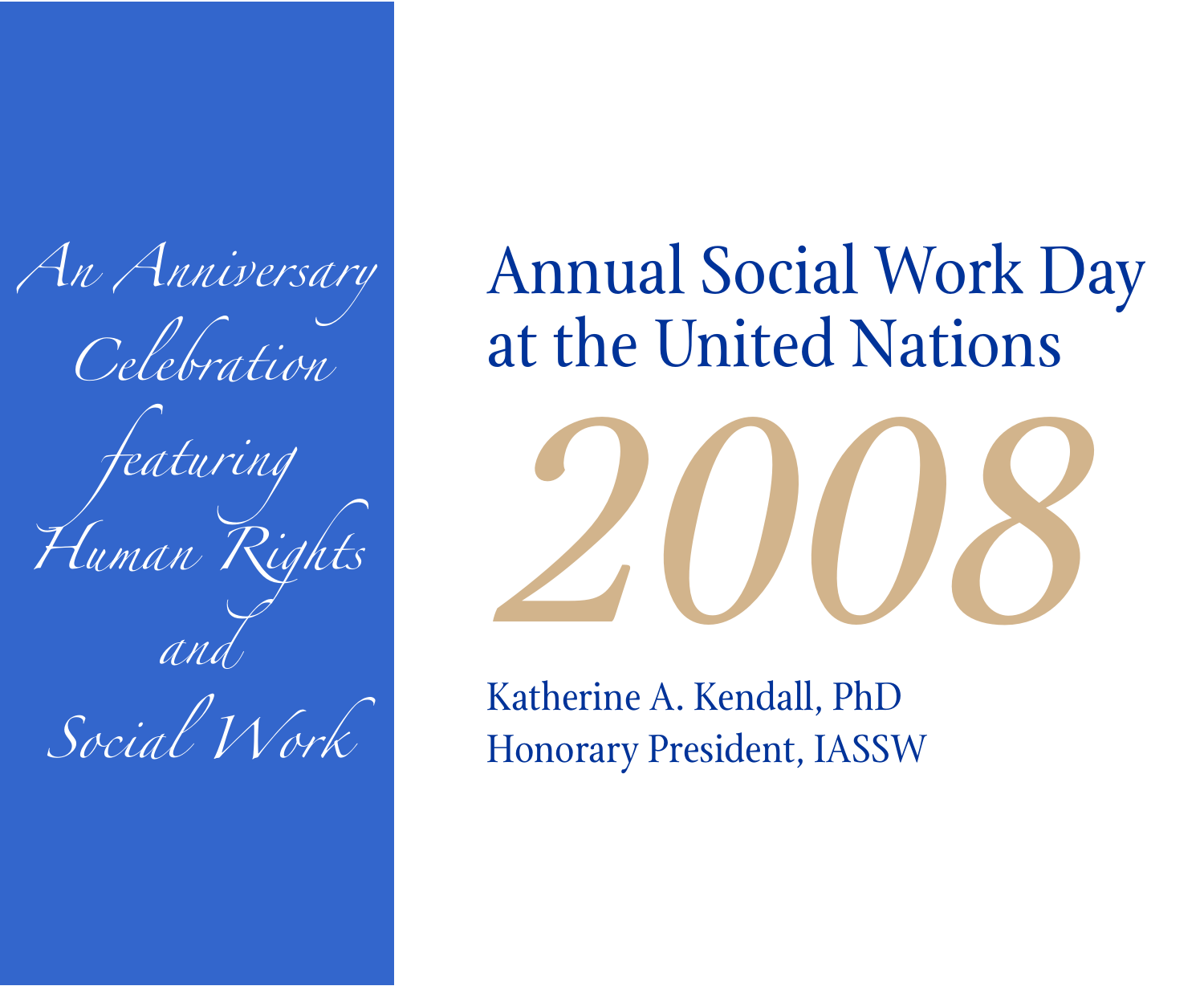*An Anniversary Celebration featuring Human Rights and Social Work*

Annual Social Work Day at the United Nations



Katherine A. Kendall, PhD Honorary President, IASSW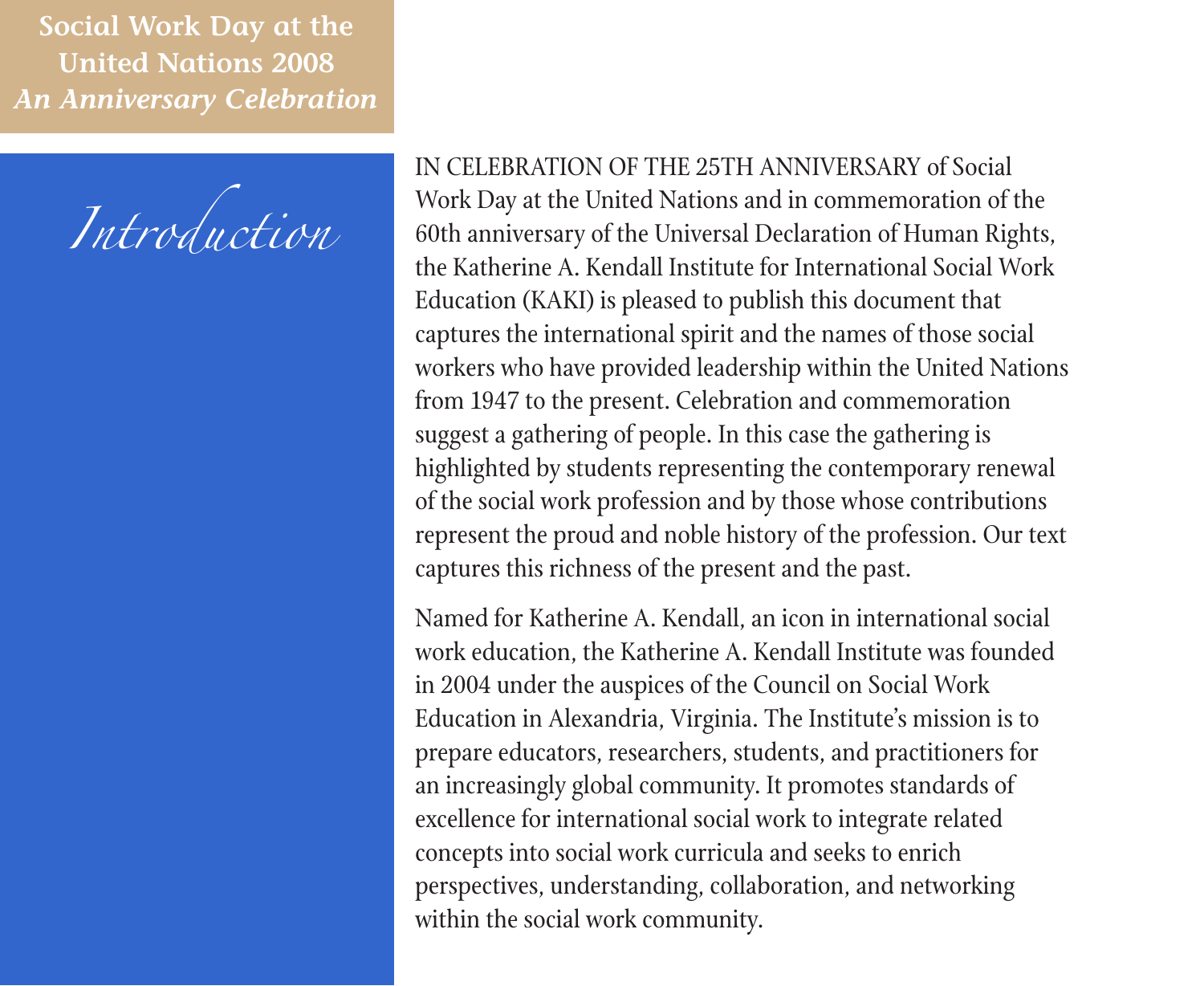

IN CELEBRATION OF THE 25TH ANNIVERSARY of Social Work Day at the United Nations and in commemoration of the 60th anniversary of the Universal Declaration of Human Rights, the Katherine A. Kendall Institute for International Social Work Education (KAKI) is pleased to publish this document that captures the international spirit and the names of those social workers who have provided leadership within the United Nations from 1947 to the present. Celebration and commemoration suggest a gathering of people. In this case the gathering is highlighted by students representing the contemporary renewal of the social work profession and by those whose contributions represent the proud and noble history of the profession. Our text captures this richness of the present and the past.

Named for Katherine A. Kendall, an icon in international social work education, the Katherine A. Kendall Institute was founded in 2004 under the auspices of the Council on Social Work Education in Alexandria, Virginia. The Institute's mission is to prepare educators, researchers, students, and practitioners for an increasingly global community. It promotes standards of excellence for international social work to integrate related concepts into social work curricula and seeks to enrich perspectives, understanding, collaboration, and networking within the social work community.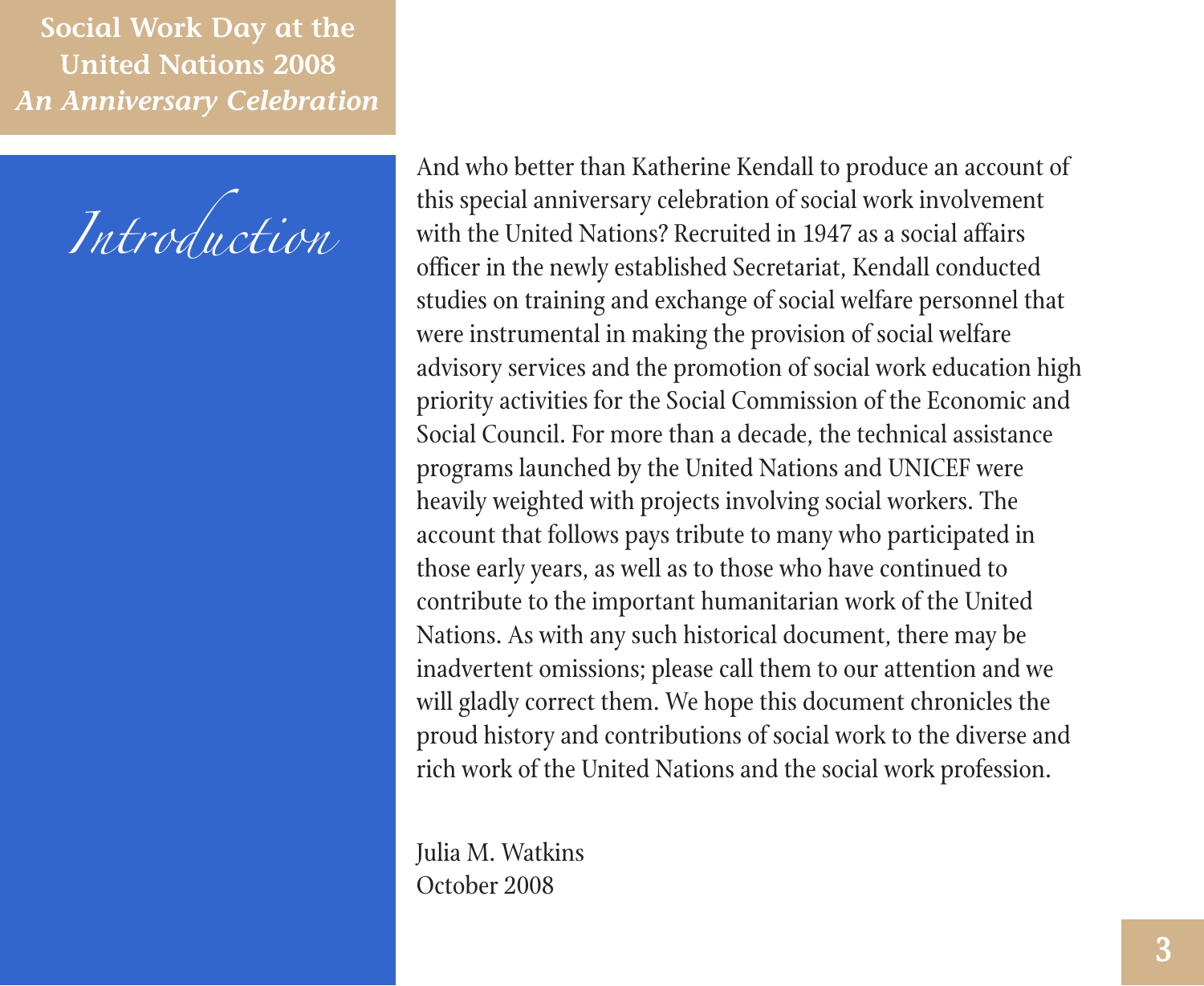*Introduction*

And who better than Katherine Kendall to produce an account of this special anniversary celebration of social work involvement with the United Nations? Recruited in 1947 as a social affairs officer in the newly established Secretariat, Kendall conducted studies on training and exchange of social welfare personnel that were instrumental in making the provision of social welfare advisory services and the promotion of social work education high priority activities for the Social Commission of the Economic and Social Council. For more than a decade, the technical assistance programs launched by the United Nations and UNICEF were heavily weighted with projects involving social workers. The account that follows pays tribute to many who participated in those early years, as well as to those who have continued to contribute to the important humanitarian work of the United Nations. As with any such historical document, there may be inadvertent omissions; please call them to our attention and we will gladly correct them. We hope this document chronicles the proud history and contributions of social work to the diverse and rich work of the United Nations and the social work profession.

Julia M. Watkins October 2008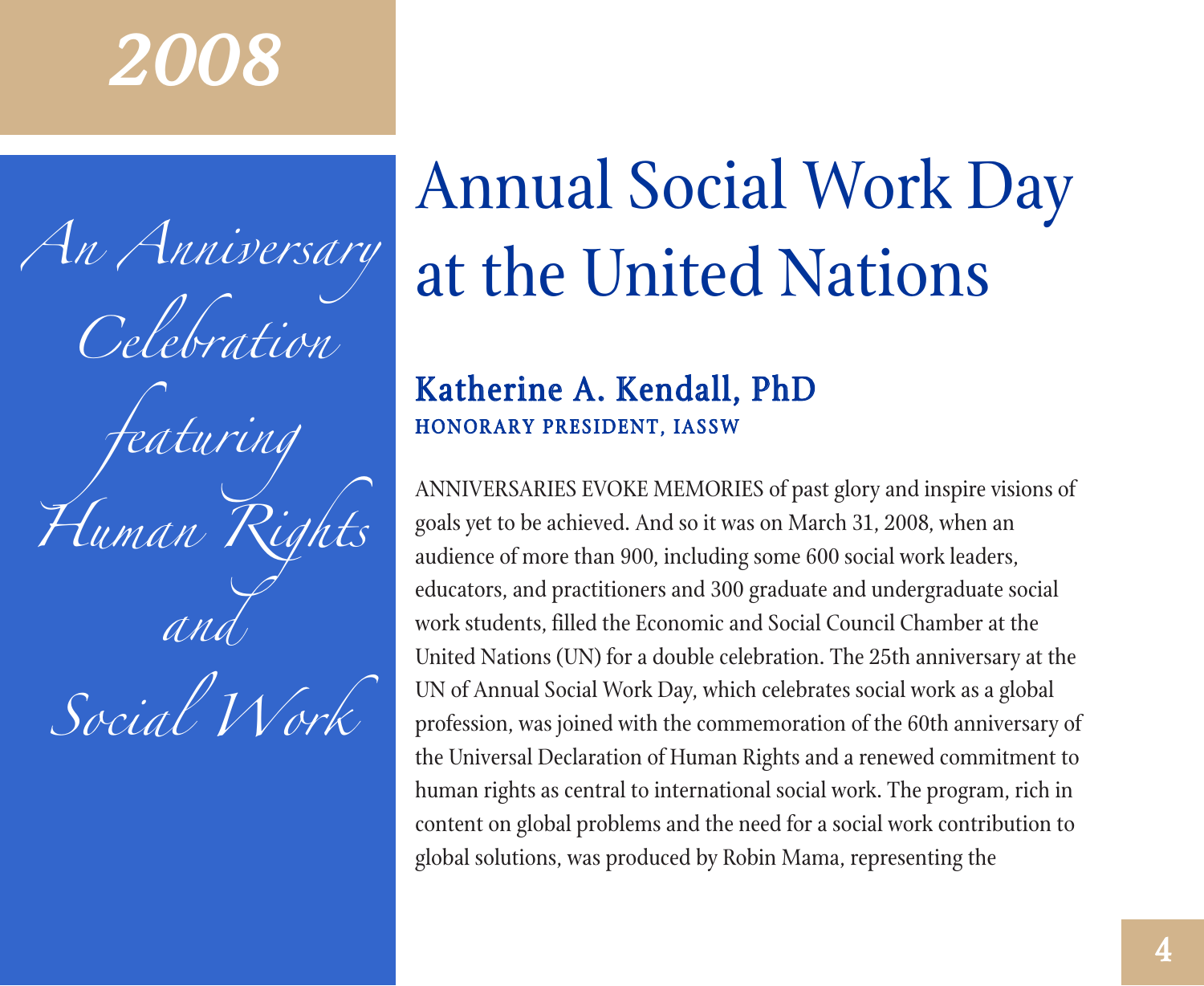## *2008*

*An Anniversary Celebration featuring Human Rights and*

# *Social Work*

## Annual Social Work Day at the United Nations

### Katherine A. Kendall, PhD HONORARY PRESIDENT, IASSW

ANNIVERSARIES EVOKE MEMORIES of past glory and inspire visions of goals yet to be achieved. And so it was on March 31, 2008, when an audience of more than 900, including some 600 social work leaders, educators, and practitioners and 300 graduate and undergraduate social work students, filled the Economic and Social Council Chamber at the United Nations (UN) for a double celebration. The 25th anniversary at the UN of Annual Social Work Day, which celebrates social work as a global profession, was joined with the commemoration of the 60th anniversary of the Universal Declaration of Human Rights and a renewed commitment to human rights as central to international social work. The program, rich in content on global problems and the need for a social work contribution to global solutions, was produced by Robin Mama, representing the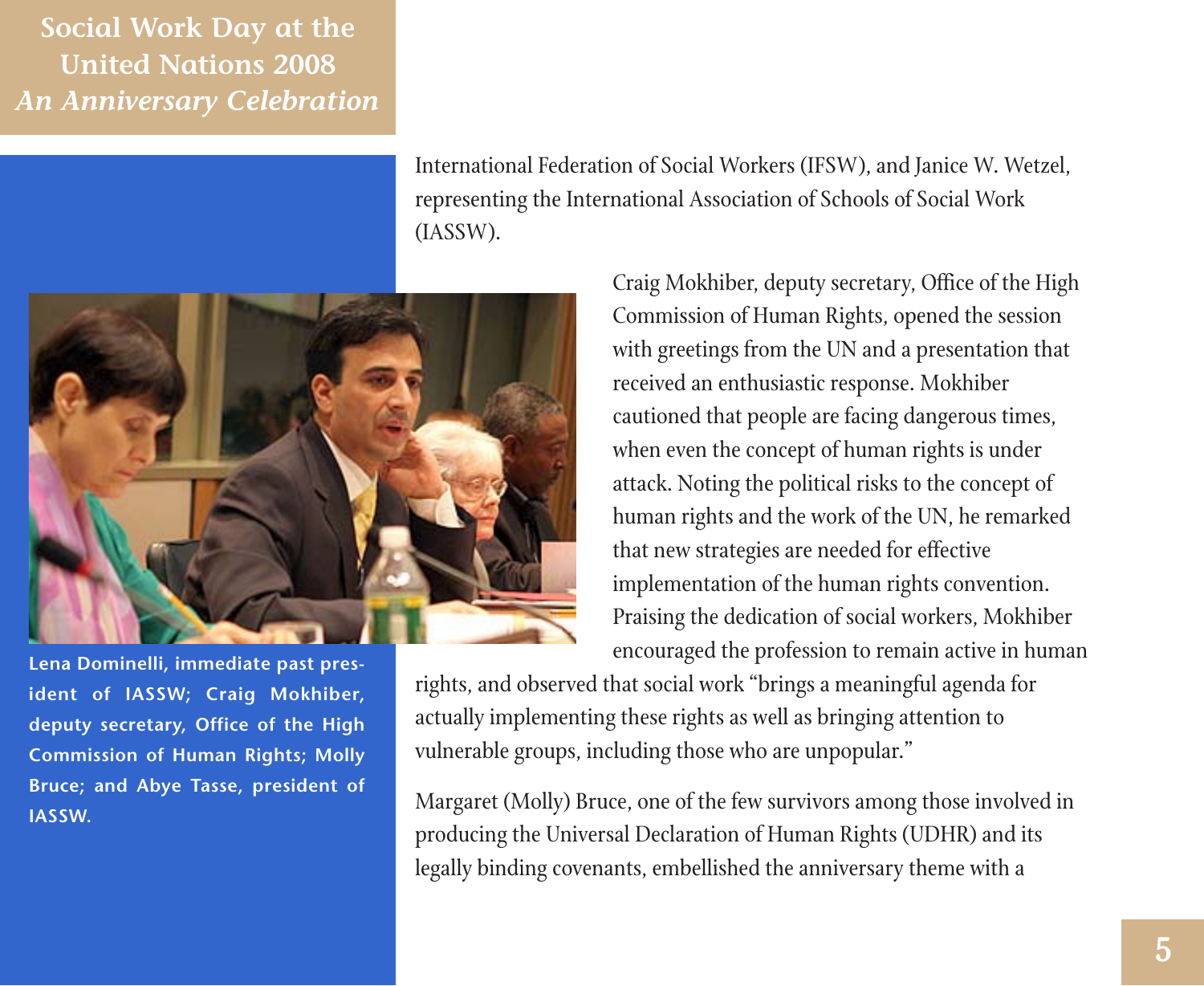> International Federation of Social Workers (IFSW), and Janice W. Wetzel, representing the International Association of Schools of Social Work (IASSW).



**Lena Dominelli, immediate past president of IASSW; Craig Mokhiber, deputy secretary, Office of the High Commission of Human Rights; Molly Bruce; and Abye Tasse, president of IASSW.**

Craig Mokhiber, deputy secretary, Office of the High Commission of Human Rights, opened the session with greetings from the UN and a presentation that received an enthusiastic response. Mokhiber cautioned that people are facing dangerous times, when even the concept of human rights is under attack. Noting the political risks to the concept of human rights and the work of the UN, he remarked that new strategies are needed for effective implementation of the human rights convention. Praising the dedication of social workers, Mokhiber encouraged the profession to remain active in human

rights, and observed that social work "brings a meaningful agenda for actually implementing these rights as well as bringing attention to vulnerable groups, including those who are unpopular."

Margaret (Molly) Bruce, one of the few survivors among those involved in producing the Universal Declaration of Human Rights (UDHR) and its legally binding covenants, embellished the anniversary theme with a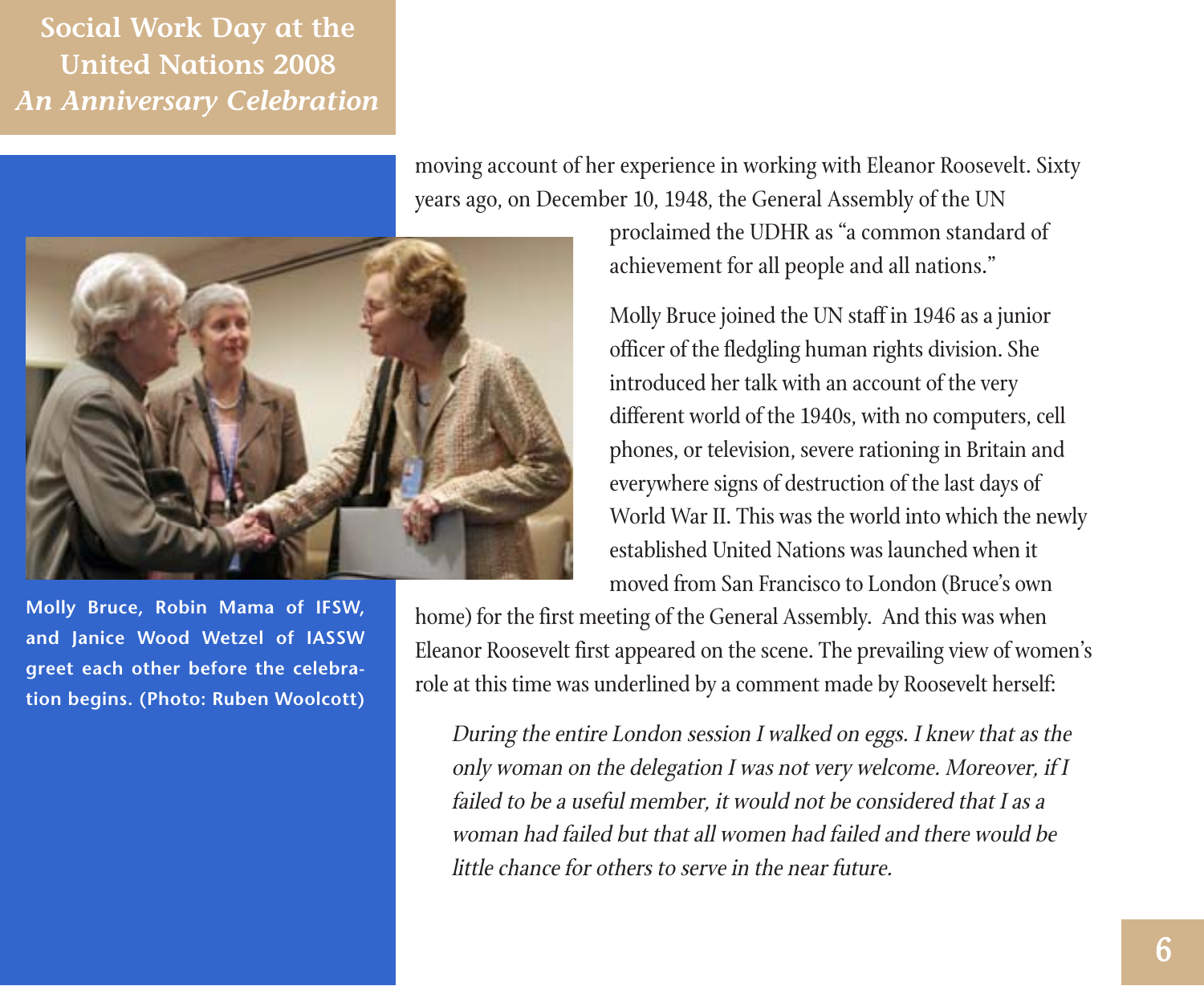**Molly Bruce, Robin Mama of IFSW, and Janice Wood Wetzel of IASSW greet each other before the celebration begins. (Photo: Ruben Woolcott)**

moving account of her experience in working with Eleanor Roosevelt. Sixty years ago, on December 10, 1948, the General Assembly of the UN

> proclaimed the UDHR as "a common standard of achievement for all people and all nations."

Molly Bruce joined the UN staff in 1946 as a junior officer of the fledgling human rights division. She introduced her talk with an account of the very different world of the 1940s, with no computers, cell phones, or television, severe rationing in Britain and everywhere signs of destruction of the last days of World War II. This was the world into which the newly established United Nations was launched when it moved from San Francisco to London (Bruce's own

home) for the first meeting of the General Assembly. And this was when Eleanor Roosevelt first appeared on the scene. The prevailing view of women's role at this time was underlined by a comment made by Roosevelt herself:

During the entire London session I walked on eggs. I knew that as the only woman on the delegation I was not very welcome. Moreover, if I failed to be a useful member, it would not be considered that I as a woman had failed but that all women had failed and there would be little chance for others to serve in the near future.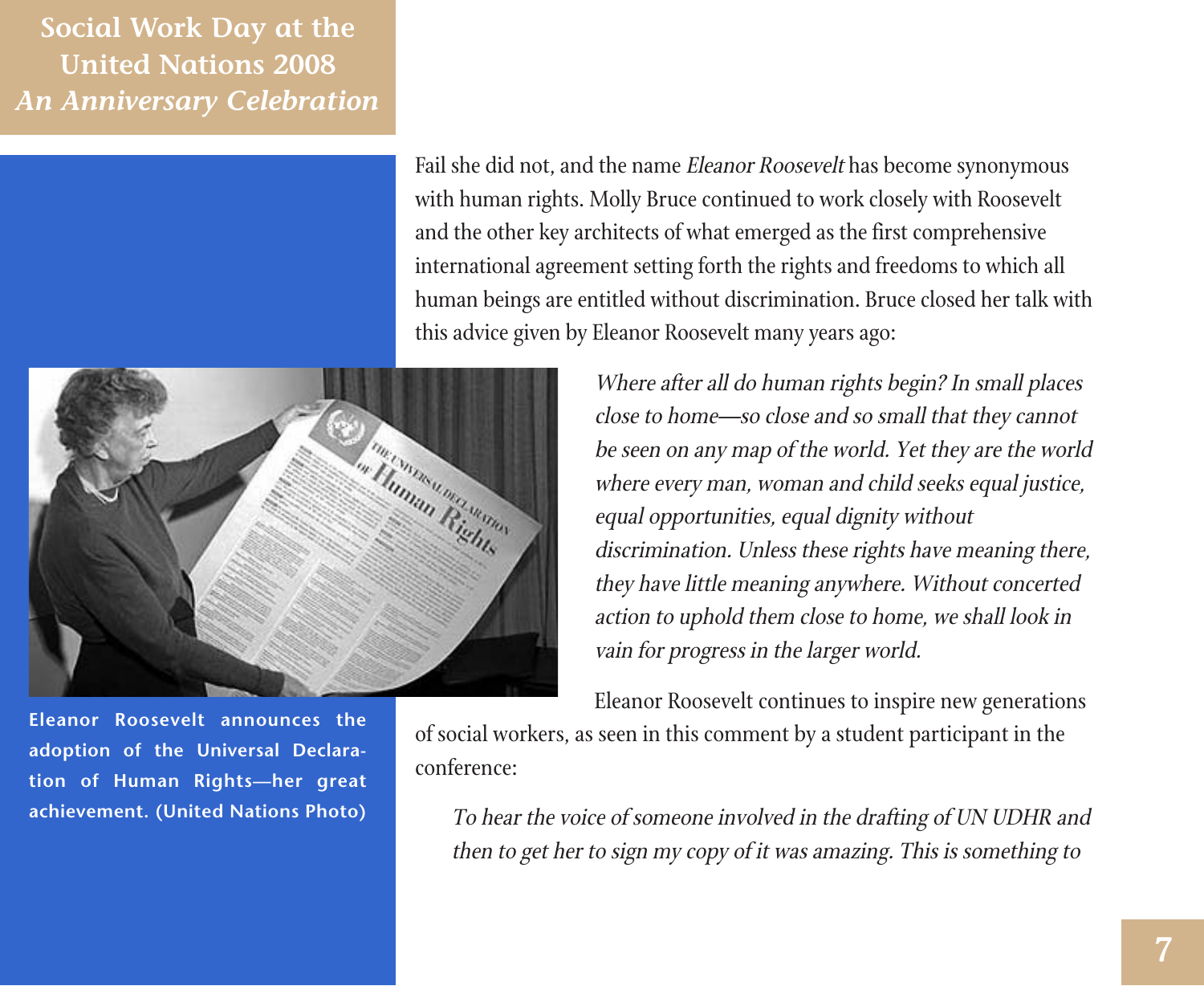

Fail she did not, and the name Eleanor Roosevelt has become synonymous with human rights. Molly Bruce continued to work closely with Roosevelt and the other key architects of what emerged as the first comprehensive international agreement setting forth the rights and freedoms to which all human beings are entitled without discrimination. Bruce closed her talk with this advice given by Eleanor Roosevelt many years ago:



Where after all do human rights begin? In small places close to home—so close and so small that they cannot be seen on any map of the world. Yet they are the world where every man, woman and child seeks equal justice, equal opportunities, equal dignity without discrimination. Unless these rights have meaning there, they have little meaning anywhere. Without concerted action to uphold them close to home, we shall look in vain for progress in the larger world.

Eleanor Roosevelt continues to inspire new generations of social workers, as seen in this comment by a student participant in the conference:

> To hear the voice of someone involved in the drafting of UN UDHR and then to get her to sign my copy of it was amazing. This is something to

**Eleanor Roosevelt announces the adoption of the Universal Declaration of Human Rights—her great achievement. (United Nations Photo)**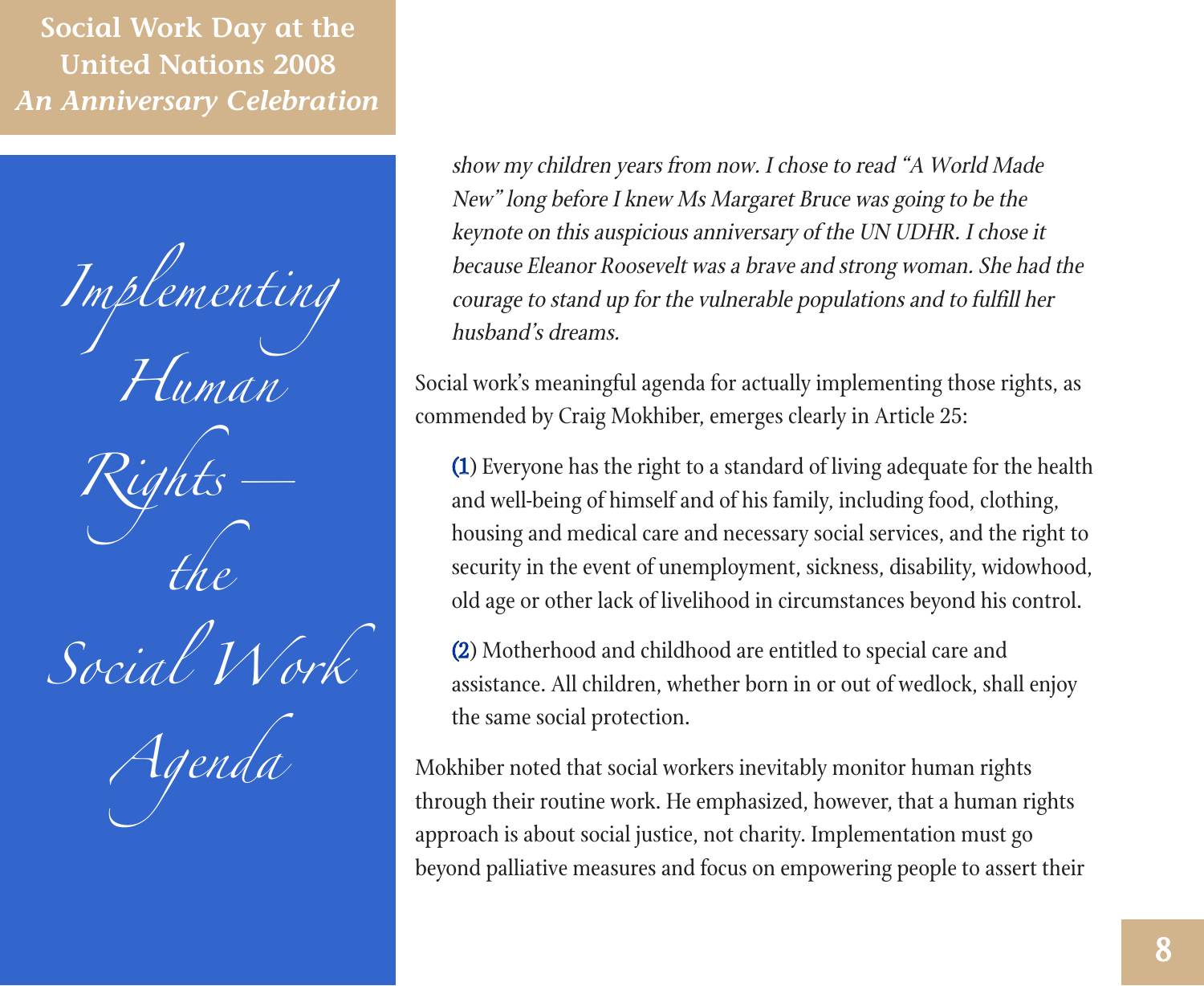*Implementing Human Rights the Social Work Agenda*

show my children years from now. I chose to read "A World Made New" long before I knew Ms Margaret Bruce was going to be the keynote on this auspicious anniversary of the UN UDHR. I chose it because Eleanor Roosevelt was a brave and strong woman. She had the courage to stand up for the vulnerable populations and to fulfill her husband's dreams.

Social work's meaningful agenda for actually implementing those rights, as commended by Craig Mokhiber, emerges clearly in Article 25:

(1) Everyone has the right to a standard of living adequate for the health and well-being of himself and of his family, including food, clothing, housing and medical care and necessary social services, and the right to security in the event of unemployment, sickness, disability, widowhood, old age or other lack of livelihood in circumstances beyond his control.

(2) Motherhood and childhood are entitled to special care and assistance. All children, whether born in or out of wedlock, shall enjoy the same social protection.

Mokhiber noted that social workers inevitably monitor human rights through their routine work. He emphasized, however, that a human rights approach is about social justice, not charity. Implementation must go beyond palliative measures and focus on empowering people to assert their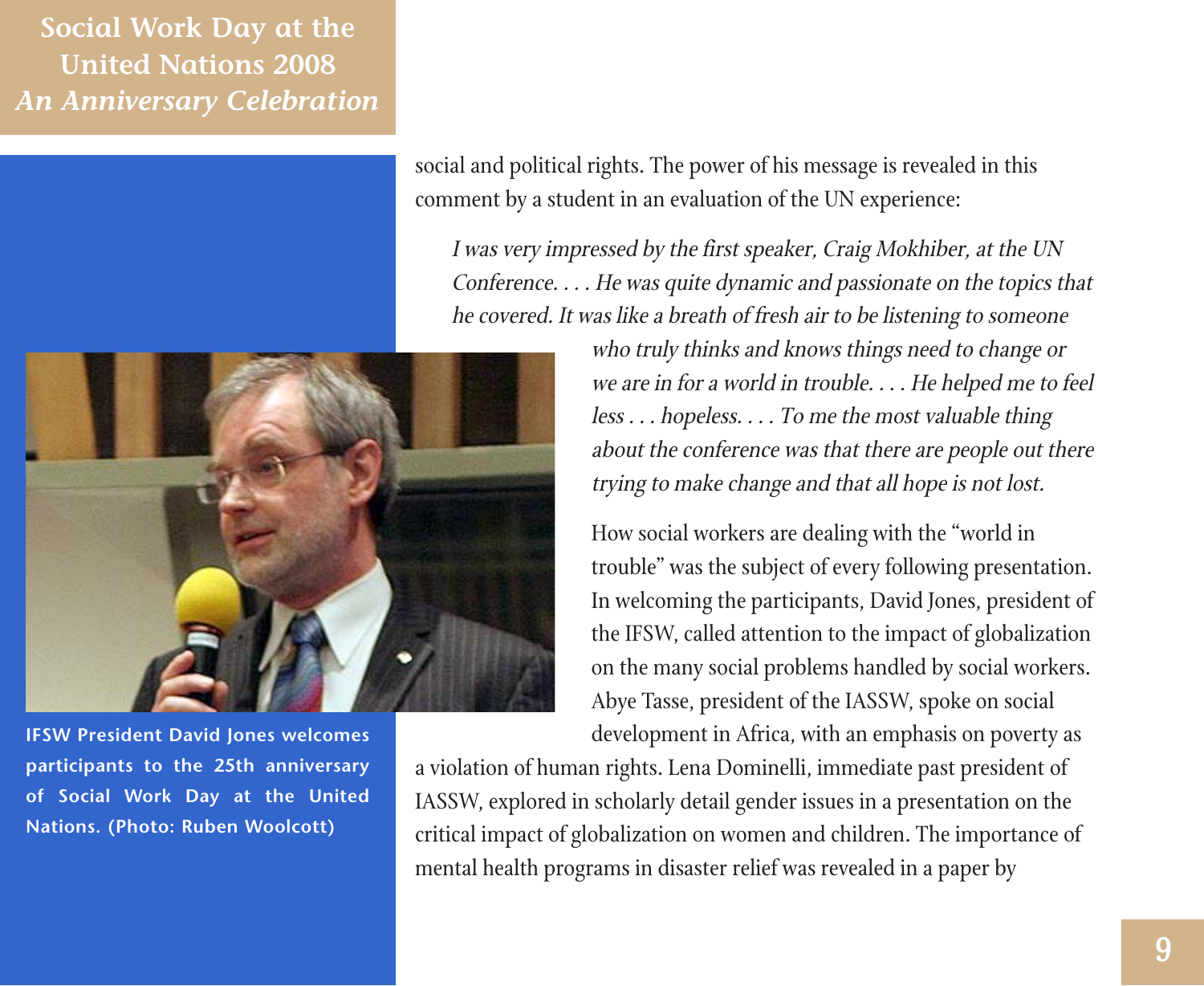> social and political rights. The power of his message is revealed in this comment by a student in an evaluation of the UN experience:

I was very impressed by the first speaker, Craig Mokhiber, at the UN Conference. . . . He was quite dynamic and passionate on the topics that he covered. It was like a breath of fresh air to be listening to someone



**IFSW President David Jones welcomes participants to the 25th anniversary of Social Work Day at the United Nations. (Photo: Ruben Woolcott)**

who truly thinks and knows things need to change or we are in for a world in trouble. . . . He helped me to feel less . . . hopeless. . . . To me the most valuable thing about the conference was that there are people out there trying to make change and that all hope is not lost.

How social workers are dealing with the "world in trouble" was the subject of every following presentation. In welcoming the participants, David Jones, president of the IFSW, called attention to the impact of globalization on the many social problems handled by social workers. Abye Tasse, president of the IASSW, spoke on social development in Africa, with an emphasis on poverty as

a violation of human rights. Lena Dominelli, immediate past president of IASSW, explored in scholarly detail gender issues in a presentation on the critical impact of globalization on women and children. The importance of mental health programs in disaster relief was revealed in a paper by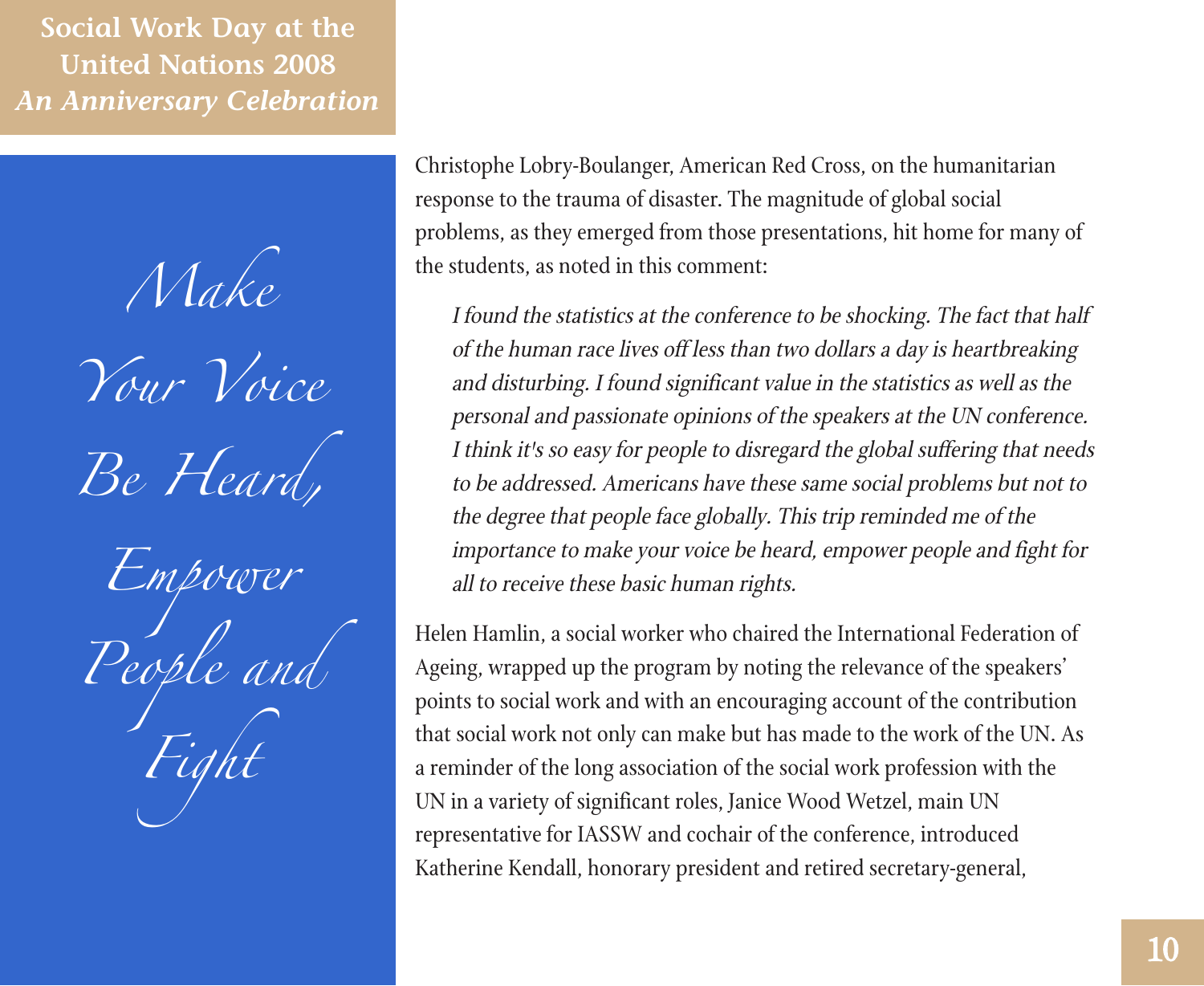*Make Your Voice Be Heard,*

*Empower People and Fight*

Christophe Lobry-Boulanger, American Red Cross, on the humanitarian response to the trauma of disaster. The magnitude of global social problems, as they emerged from those presentations, hit home for many of the students, as noted in this comment:

I found the statistics at the conference to be shocking. The fact that half of the human race lives off less than two dollars a day is heartbreaking and disturbing. I found significant value in the statistics as well as the personal and passionate opinions of the speakers at the UN conference. I think it's so easy for people to disregard the global suffering that needs to be addressed. Americans have these same social problems but not to the degree that people face globally. This trip reminded me of the importance to make your voice be heard, empower people and fight for all to receive these basic human rights.

Helen Hamlin, a social worker who chaired the International Federation of Ageing, wrapped up the program by noting the relevance of the speakers' points to social work and with an encouraging account of the contribution that social work not only can make but has made to the work of the UN. As a reminder of the long association of the social work profession with the UN in a variety of significant roles, Janice Wood Wetzel, main UN representative for IASSW and cochair of the conference, introduced Katherine Kendall, honorary president and retired secretary-general,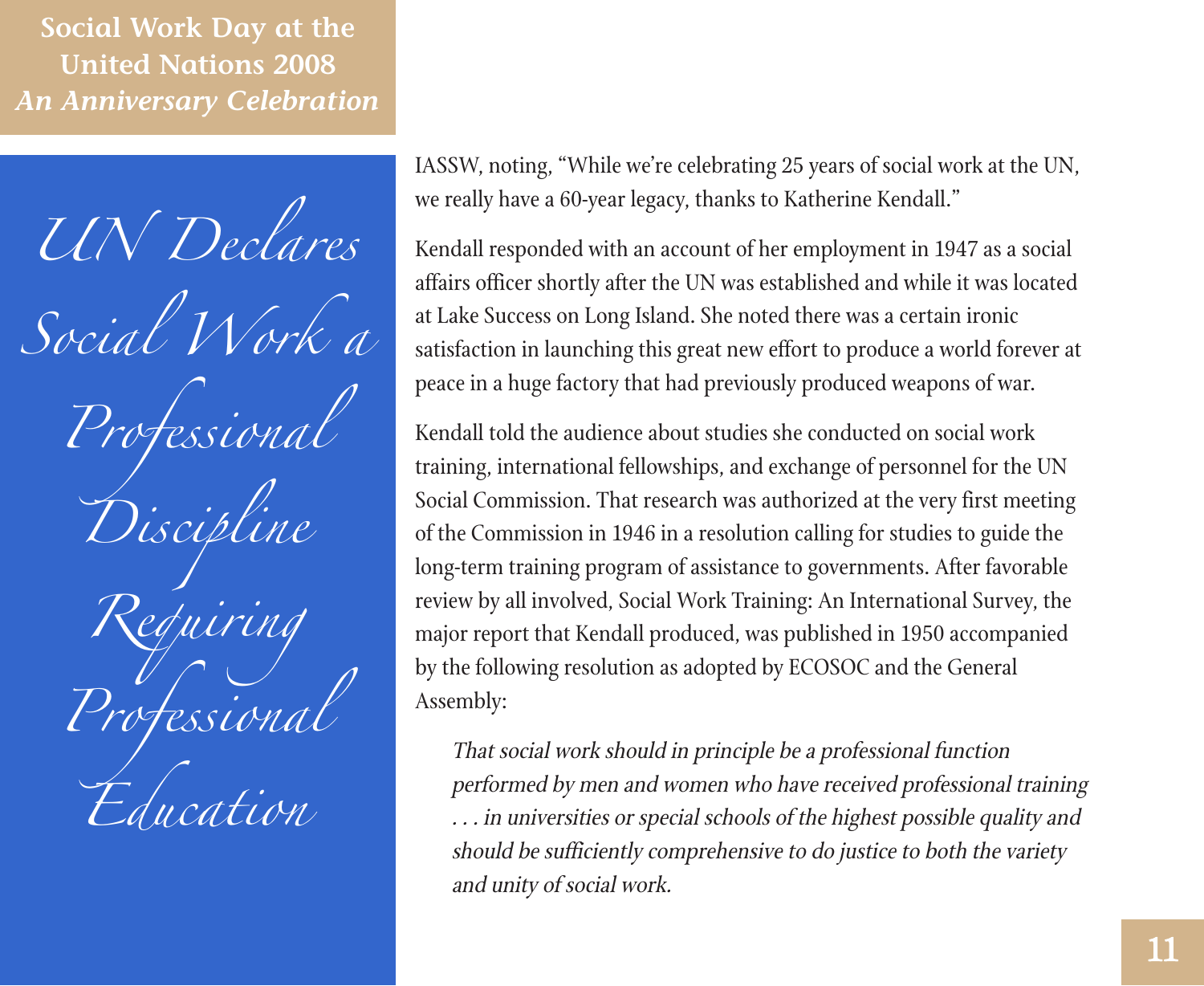*UN Declares Social Work a Professional Discipline Requiring Professional Education*

IASSW, noting, "While we're celebrating 25 years of social work at the UN, we really have a 60-year legacy, thanks to Katherine Kendall."

Kendall responded with an account of her employment in 1947 as a social affairs officer shortly after the UN was established and while it was located at Lake Success on Long Island. She noted there was a certain ironic satisfaction in launching this great new effort to produce a world forever at peace in a huge factory that had previously produced weapons of war.

Kendall told the audience about studies she conducted on social work training, international fellowships, and exchange of personnel for the UN Social Commission. That research was authorized at the very first meeting of the Commission in 1946 in a resolution calling for studies to guide the long-term training program of assistance to governments. After favorable review by all involved, Social Work Training: An International Survey, the major report that Kendall produced, was published in 1950 accompanied by the following resolution as adopted by ECOSOC and the General Assembly:

That social work should in principle be a professional function performed by men and women who have received professional training . . . in universities or special schools of the highest possible quality and should be sufficiently comprehensive to do justice to both the variety and unity of social work.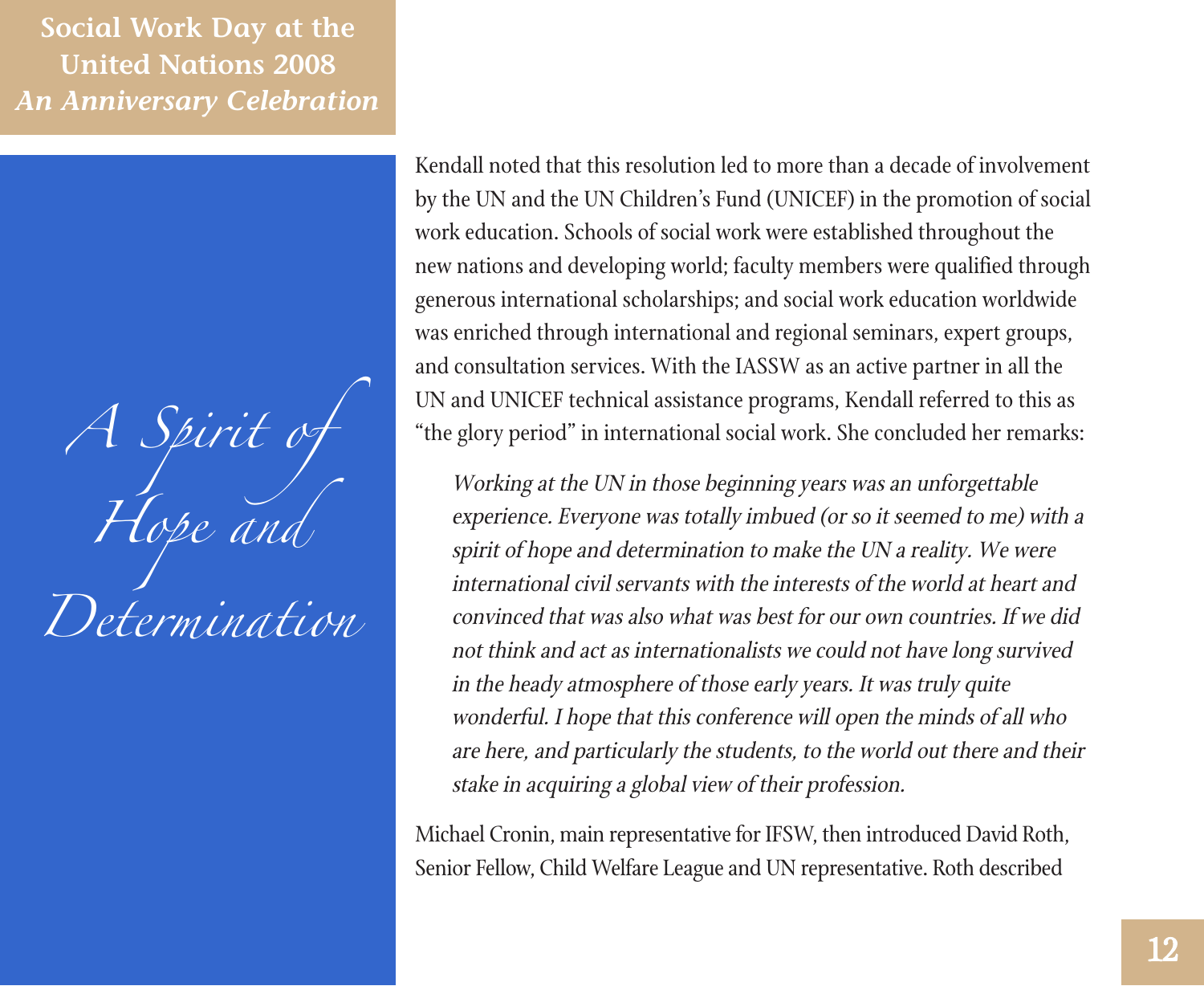*A Spirit of Hope and Determination*

Kendall noted that this resolution led to more than a decade of involvement by the UN and the UN Children's Fund (UNICEF) in the promotion of social work education. Schools of social work were established throughout the new nations and developing world; faculty members were qualified through generous international scholarships; and social work education worldwide was enriched through international and regional seminars, expert groups, and consultation services. With the IASSW as an active partner in all the UN and UNICEF technical assistance programs, Kendall referred to this as "the glory period" in international social work. She concluded her remarks:

Working at the UN in those beginning years was an unforgettable experience. Everyone was totally imbued (or so it seemed to me) with a spirit of hope and determination to make the UN a reality. We were international civil servants with the interests of the world at heart and convinced that was also what was best for our own countries. If we did not think and act as internationalists we could not have long survived in the heady atmosphere of those early years. It was truly quite wonderful. I hope that this conference will open the minds of all who are here, and particularly the students, to the world out there and their stake in acquiring a global view of their profession.

Michael Cronin, main representative for IFSW, then introduced David Roth, Senior Fellow, Child Welfare League and UN representative. Roth described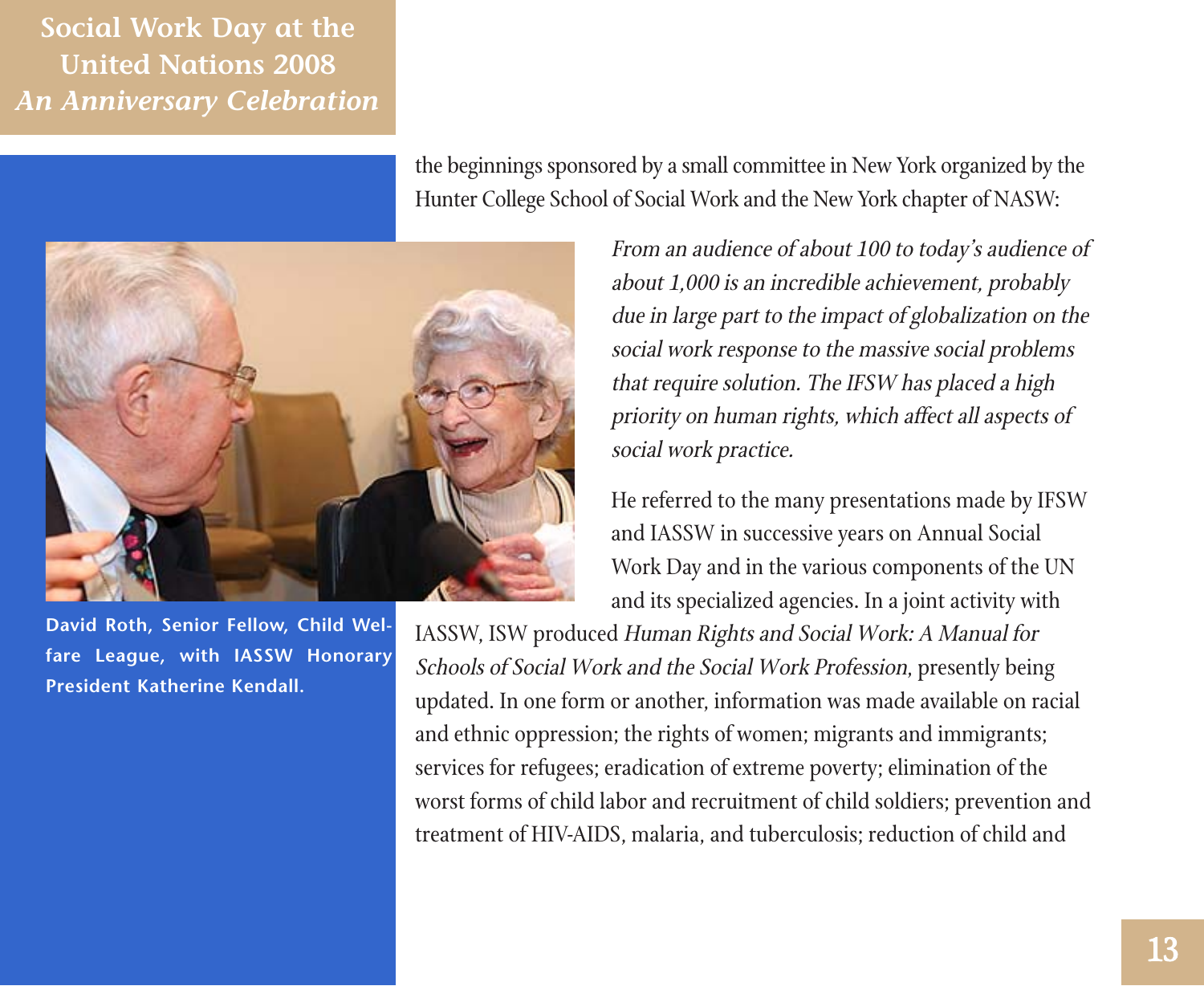

**David Roth, Senior Fellow, Child Welfare League, with IASSW Honorary President Katherine Kendall.**

the beginnings sponsored by a small committee in New York organized by the Hunter College School of Social Work and the New York chapter of NASW:

> From an audience of about 100 to today's audience of about 1,000 is an incredible achievement, probably due in large part to the impact of globalization on the social work response to the massive social problems that require solution. The IFSW has placed a high priority on human rights, which affect all aspects of social work practice.

> He referred to the many presentations made by IFSW and IASSW in successive years on Annual Social Work Day and in the various components of the UN and its specialized agencies. In a joint activity with

IASSW, ISW produced Human Rights and Social Work: A Manual for Schools of Social Work and the Social Work Profession, presently being updated. In one form or another, information was made available on racial and ethnic oppression; the rights of women; migrants and immigrants; services for refugees; eradication of extreme poverty; elimination of the worst forms of child labor and recruitment of child soldiers; prevention and treatment of HIV-AIDS, malaria, and tuberculosis; reduction of child and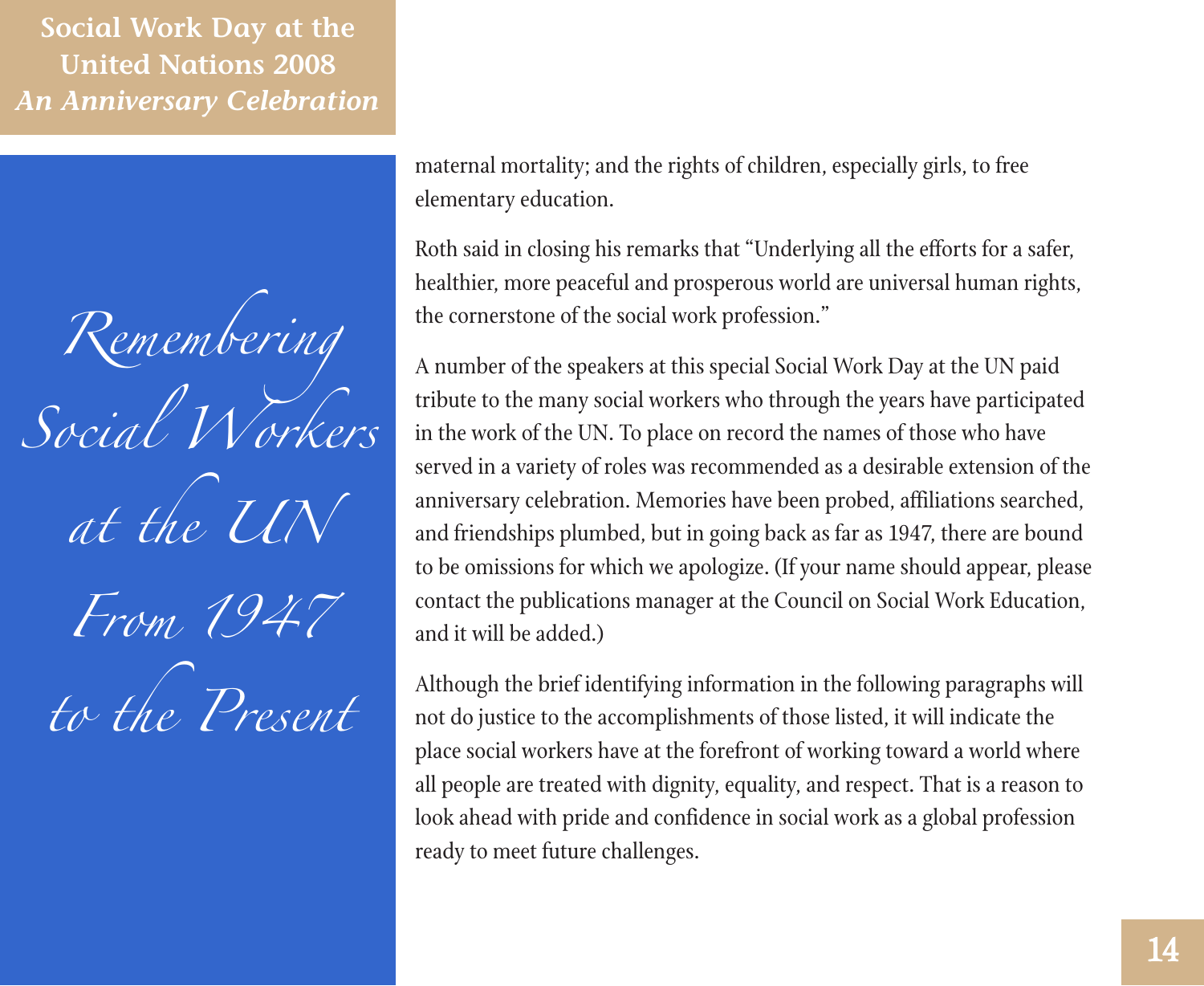*Remembering Social Workers at the UN From 1947 to the Present* maternal mortality; and the rights of children, especially girls, to free elementary education.

Roth said in closing his remarks that "Underlying all the efforts for a safer, healthier, more peaceful and prosperous world are universal human rights, the cornerstone of the social work profession."

A number of the speakers at this special Social Work Day at the UN paid tribute to the many social workers who through the years have participated in the work of the UN. To place on record the names of those who have served in a variety of roles was recommended as a desirable extension of the anniversary celebration. Memories have been probed, affiliations searched, and friendships plumbed, but in going back as far as 1947, there are bound to be omissions for which we apologize. (If your name should appear, please contact the publications manager at the Council on Social Work Education, and it will be added.)

Although the brief identifying information in the following paragraphs will not do justice to the accomplishments of those listed, it will indicate the place social workers have at the forefront of working toward a world where all people are treated with dignity, equality, and respect. That is a reason to look ahead with pride and confidence in social work as a global profession ready to meet future challenges.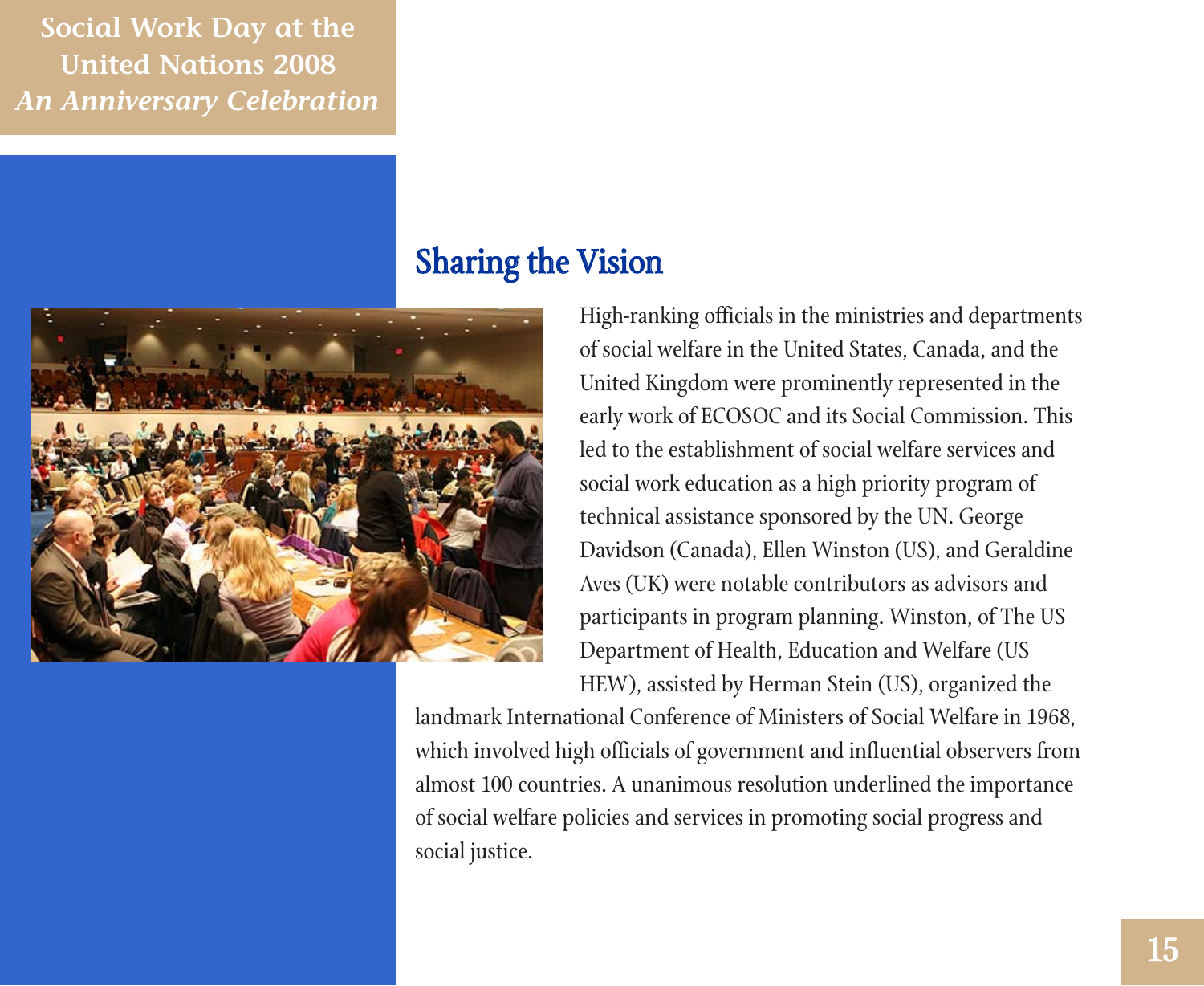

## Sharing the Vision

High-ranking officials in the ministries and departments of social welfare in the United States, Canada, and the United Kingdom were prominently represented in the early work of ECOSOC and its Social Commission. This led to the establishment of social welfare services and social work education as a high priority program of technical assistance sponsored by the UN. George Davidson (Canada), Ellen Winston (US), and Geraldine Aves (UK) were notable contributors as advisors and participants in program planning. Winston, of The US Department of Health, Education and Welfare (US HEW), assisted by Herman Stein (US), organized the

landmark International Conference of Ministers of Social Welfare in 1968, which involved high officials of government and influential observers from almost 100 countries. A unanimous resolution underlined the importance of social welfare policies and services in promoting social progress and social justice.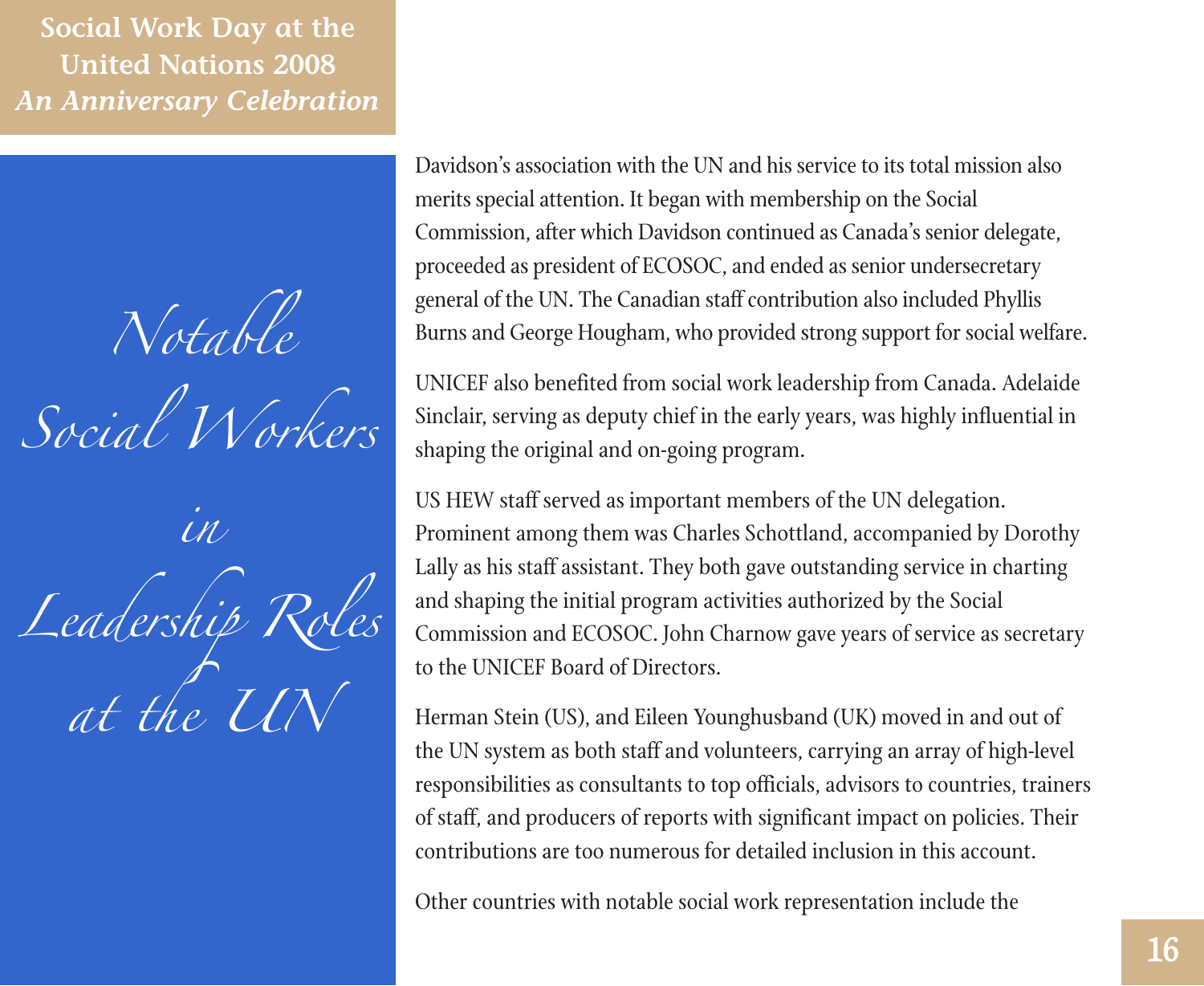*Notable Social Workers in Leadership Roles at the UN*

Davidson's association with the UN and his service to its total mission also merits special attention. It began with membership on the Social Commission, after which Davidson continued as Canada's senior delegate, proceeded as president of ECOSOC, and ended as senior undersecretary general of the UN. The Canadian staff contribution also included Phyllis Burns and George Hougham, who provided strong support for social welfare.

UNICEF also benefited from social work leadership from Canada. Adelaide Sinclair, serving as deputy chief in the early years, was highly influential in shaping the original and on-going program.

US HEW staff served as important members of the UN delegation. Prominent among them was Charles Schottland, accompanied by Dorothy Lally as his staff assistant. They both gave outstanding service in charting and shaping the initial program activities authorized by the Social Commission and ECOSOC. John Charnow gave years of service as secretary to the UNICEF Board of Directors.

Herman Stein (US), and Eileen Younghusband (UK) moved in and out of the UN system as both staff and volunteers, carrying an array of high-level responsibilities as consultants to top officials, advisors to countries, trainers of staff, and producers of reports with significant impact on policies. Their contributions are too numerous for detailed inclusion in this account.

Other countries with notable social work representation include the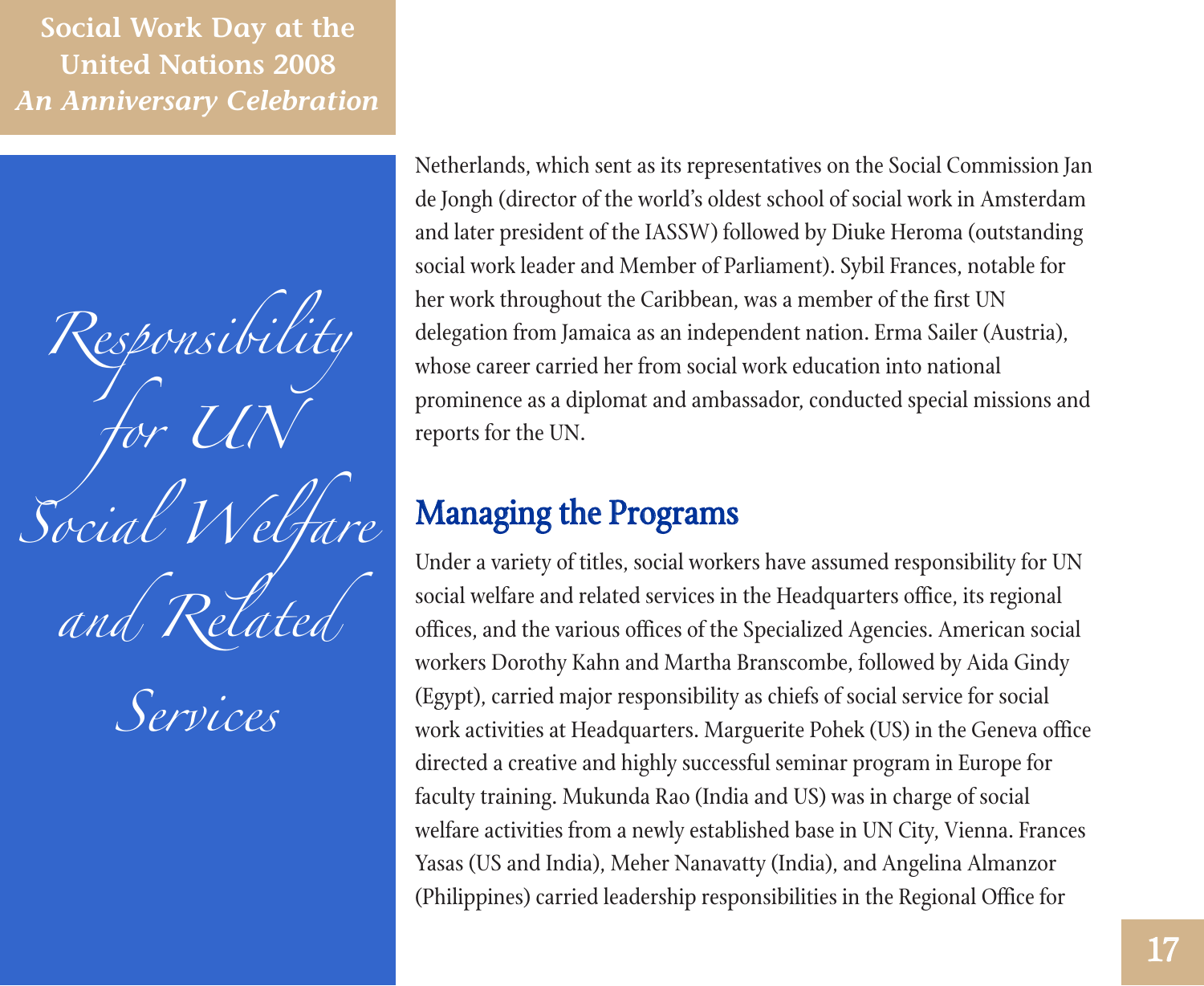*Responsibility for UN Social Welfare and Related*

*Services*

Netherlands, which sent as its representatives on the Social Commission Jan de Jongh (director of the world's oldest school of social work in Amsterdam and later president of the IASSW) followed by Diuke Heroma (outstanding social work leader and Member of Parliament). Sybil Frances, notable for her work throughout the Caribbean, was a member of the first UN delegation from Jamaica as an independent nation. Erma Sailer (Austria), whose career carried her from social work education into national prominence as a diplomat and ambassador, conducted special missions and reports for the UN.

## Managing the Programs

Under a variety of titles, social workers have assumed responsibility for UN social welfare and related services in the Headquarters office, its regional offices, and the various offices of the Specialized Agencies. American social workers Dorothy Kahn and Martha Branscombe, followed by Aida Gindy (Egypt), carried major responsibility as chiefs of social service for social work activities at Headquarters. Marguerite Pohek (US) in the Geneva office directed a creative and highly successful seminar program in Europe for faculty training. Mukunda Rao (India and US) was in charge of social welfare activities from a newly established base in UN City, Vienna. Frances Yasas (US and India), Meher Nanavatty (India), and Angelina Almanzor (Philippines) carried leadership responsibilities in the Regional Office for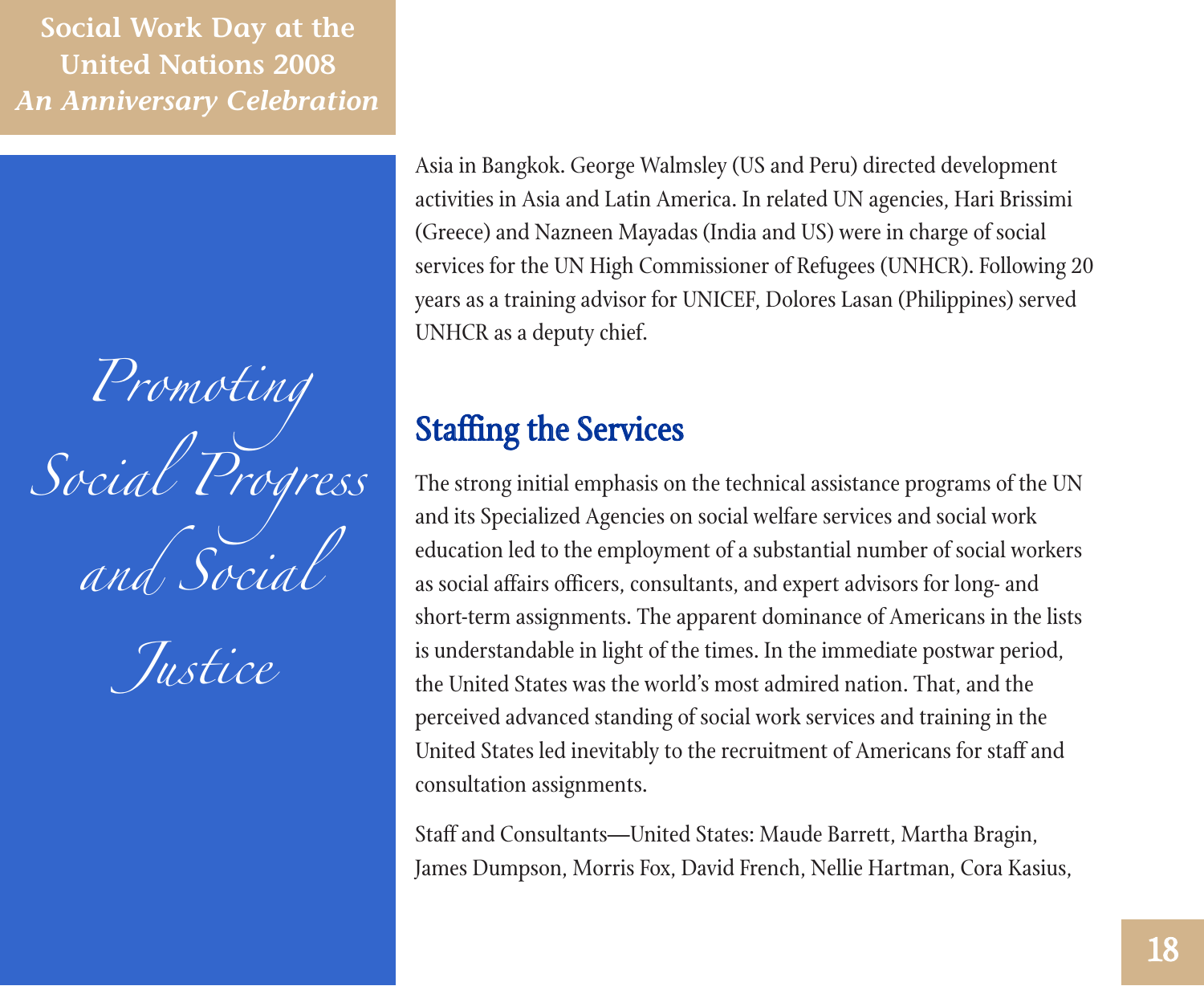*Promoting Social Progress and Social*

*Justice*

Asia in Bangkok. George Walmsley (US and Peru) directed development activities in Asia and Latin America. In related UN agencies, Hari Brissimi (Greece) and Nazneen Mayadas (India and US) were in charge of social services for the UN High Commissioner of Refugees (UNHCR). Following 20 years as a training advisor for UNICEF, Dolores Lasan (Philippines) served UNHCR as a deputy chief.

## Staffing the Services

The strong initial emphasis on the technical assistance programs of the UN and its Specialized Agencies on social welfare services and social work education led to the employment of a substantial number of social workers as social affairs officers, consultants, and expert advisors for long- and short-term assignments. The apparent dominance of Americans in the lists is understandable in light of the times. In the immediate postwar period, the United States was the world's most admired nation. That, and the perceived advanced standing of social work services and training in the United States led inevitably to the recruitment of Americans for staff and consultation assignments.

Staff and Consultants—United States: Maude Barrett, Martha Bragin, James Dumpson, Morris Fox, David French, Nellie Hartman, Cora Kasius,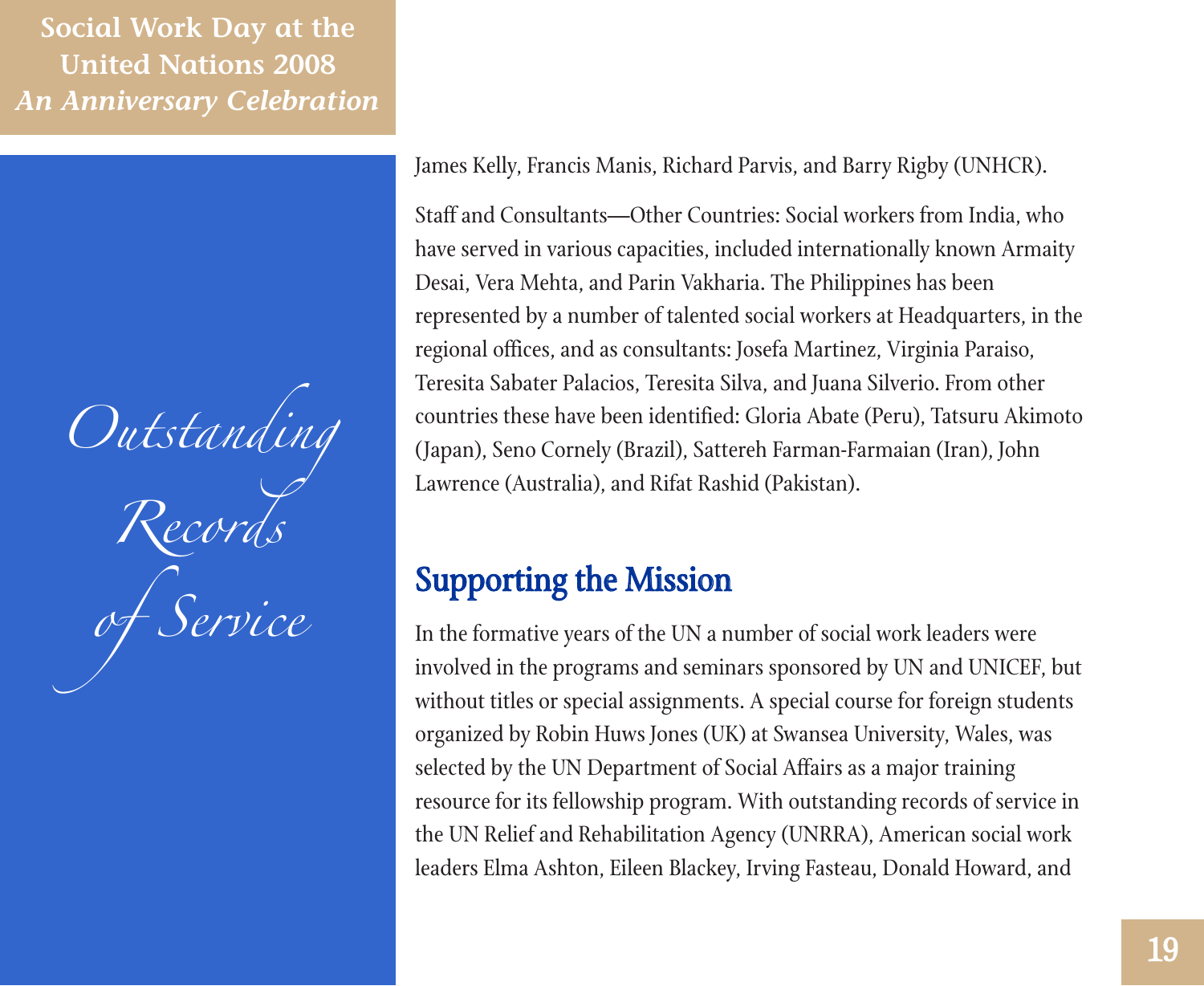*Outstanding Records of Service*

James Kelly, Francis Manis, Richard Parvis, and Barry Rigby (UNHCR).

Staff and Consultants—Other Countries: Social workers from India, who have served in various capacities, included internationally known Armaity Desai, Vera Mehta, and Parin Vakharia. The Philippines has been represented by a number of talented social workers at Headquarters, in the regional offices, and as consultants: Josefa Martinez, Virginia Paraiso, Teresita Sabater Palacios, Teresita Silva, and Juana Silverio. From other countries these have been identified: Gloria Abate (Peru), Tatsuru Akimoto (Japan), Seno Cornely (Brazil), Sattereh Farman-Farmaian (Iran), John Lawrence (Australia), and Rifat Rashid (Pakistan).

## Supporting the Mission

In the formative years of the UN a number of social work leaders were involved in the programs and seminars sponsored by UN and UNICEF, but without titles or special assignments. A special course for foreign students organized by Robin Huws Jones (UK) at Swansea University, Wales, was selected by the UN Department of Social Affairs as a major training resource for its fellowship program. With outstanding records of service in the UN Relief and Rehabilitation Agency (UNRRA), American social work leaders Elma Ashton, Eileen Blackey, Irving Fasteau, Donald Howard, and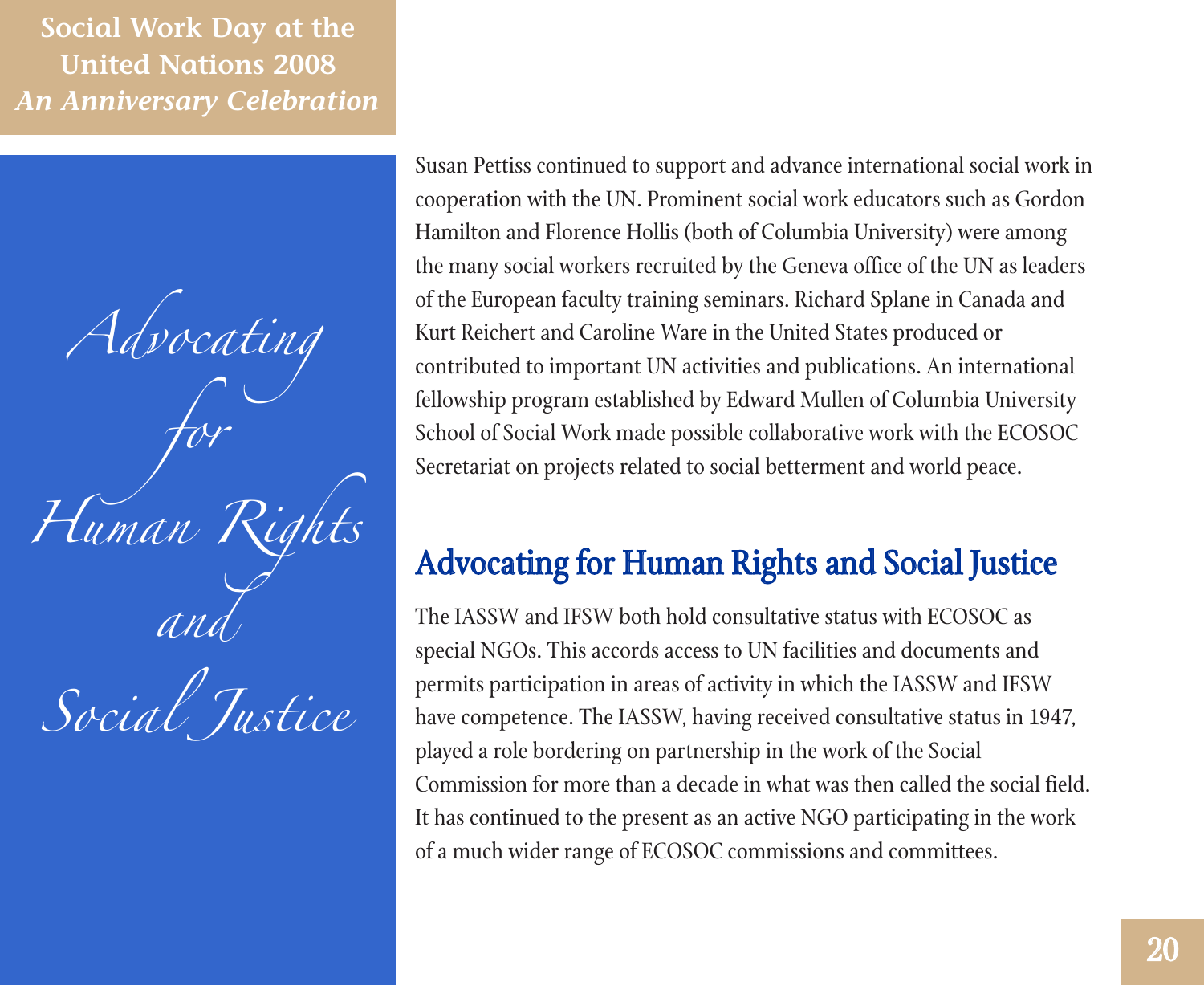*Advocating for Human Rights and*



Susan Pettiss continued to support and advance international social work in cooperation with the UN. Prominent social work educators such as Gordon Hamilton and Florence Hollis (both of Columbia University) were among the many social workers recruited by the Geneva office of the UN as leaders of the European faculty training seminars. Richard Splane in Canada and Kurt Reichert and Caroline Ware in the United States produced or contributed to important UN activities and publications. An international fellowship program established by Edward Mullen of Columbia University School of Social Work made possible collaborative work with the ECOSOC Secretariat on projects related to social betterment and world peace.

## Advocating for Human Rights and Social Justice

The IASSW and IFSW both hold consultative status with ECOSOC as special NGOs. This accords access to UN facilities and documents and permits participation in areas of activity in which the IASSW and IFSW have competence. The IASSW, having received consultative status in 1947, played a role bordering on partnership in the work of the Social Commission for more than a decade in what was then called the social field. It has continued to the present as an active NGO participating in the work of a much wider range of ECOSOC commissions and committees.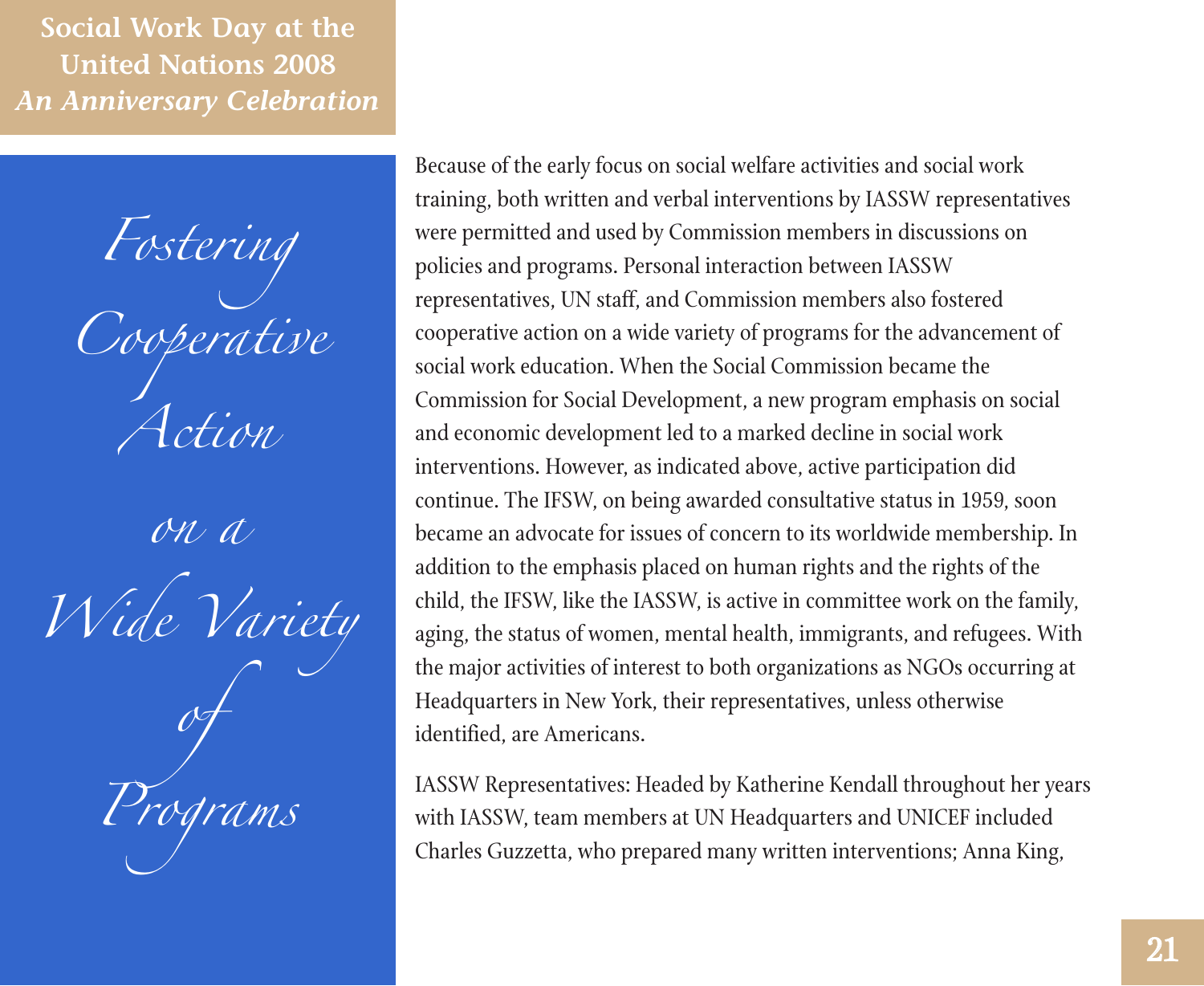*Fostering Cooperative Action*

*on a Wide Variety of Programs*

Because of the early focus on social welfare activities and social work training, both written and verbal interventions by IASSW representatives were permitted and used by Commission members in discussions on policies and programs. Personal interaction between IASSW representatives, UN staff, and Commission members also fostered cooperative action on a wide variety of programs for the advancement of social work education. When the Social Commission became the Commission for Social Development, a new program emphasis on social and economic development led to a marked decline in social work interventions. However, as indicated above, active participation did continue. The IFSW, on being awarded consultative status in 1959, soon became an advocate for issues of concern to its worldwide membership. In addition to the emphasis placed on human rights and the rights of the child, the IFSW, like the IASSW, is active in committee work on the family, aging, the status of women, mental health, immigrants, and refugees. With the major activities of interest to both organizations as NGOs occurring at Headquarters in New York, their representatives, unless otherwise identified, are Americans.

IASSW Representatives: Headed by Katherine Kendall throughout her years with IASSW, team members at UN Headquarters and UNICEF included Charles Guzzetta, who prepared many written interventions; Anna King,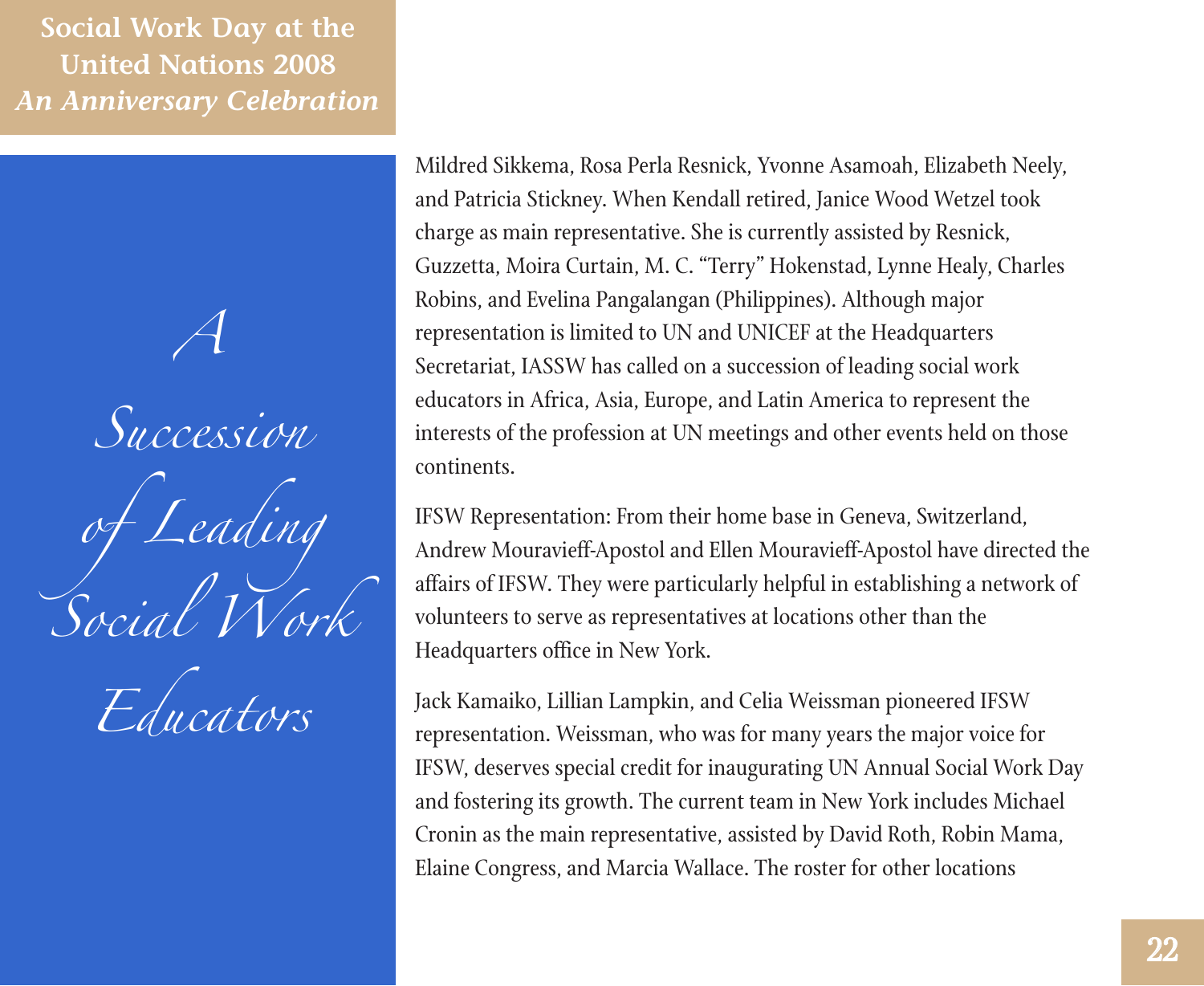



Mildred Sikkema, Rosa Perla Resnick, Yvonne Asamoah, Elizabeth Neely, and Patricia Stickney. When Kendall retired, Janice Wood Wetzel took charge as main representative. She is currently assisted by Resnick, Guzzetta, Moira Curtain, M. C. "Terry" Hokenstad, Lynne Healy, Charles Robins, and Evelina Pangalangan (Philippines). Although major representation is limited to UN and UNICEF at the Headquarters Secretariat, IASSW has called on a succession of leading social work educators in Africa, Asia, Europe, and Latin America to represent the interests of the profession at UN meetings and other events held on those continents.

IFSW Representation: From their home base in Geneva, Switzerland, Andrew Mouravieff-Apostol and Ellen Mouravieff-Apostol have directed the affairs of IFSW. They were particularly helpful in establishing a network of volunteers to serve as representatives at locations other than the Headquarters office in New York.

Jack Kamaiko, Lillian Lampkin, and Celia Weissman pioneered IFSW representation. Weissman, who was for many years the major voice for IFSW, deserves special credit for inaugurating UN Annual Social Work Day and fostering its growth. The current team in New York includes Michael Cronin as the main representative, assisted by David Roth, Robin Mama, Elaine Congress, and Marcia Wallace. The roster for other locations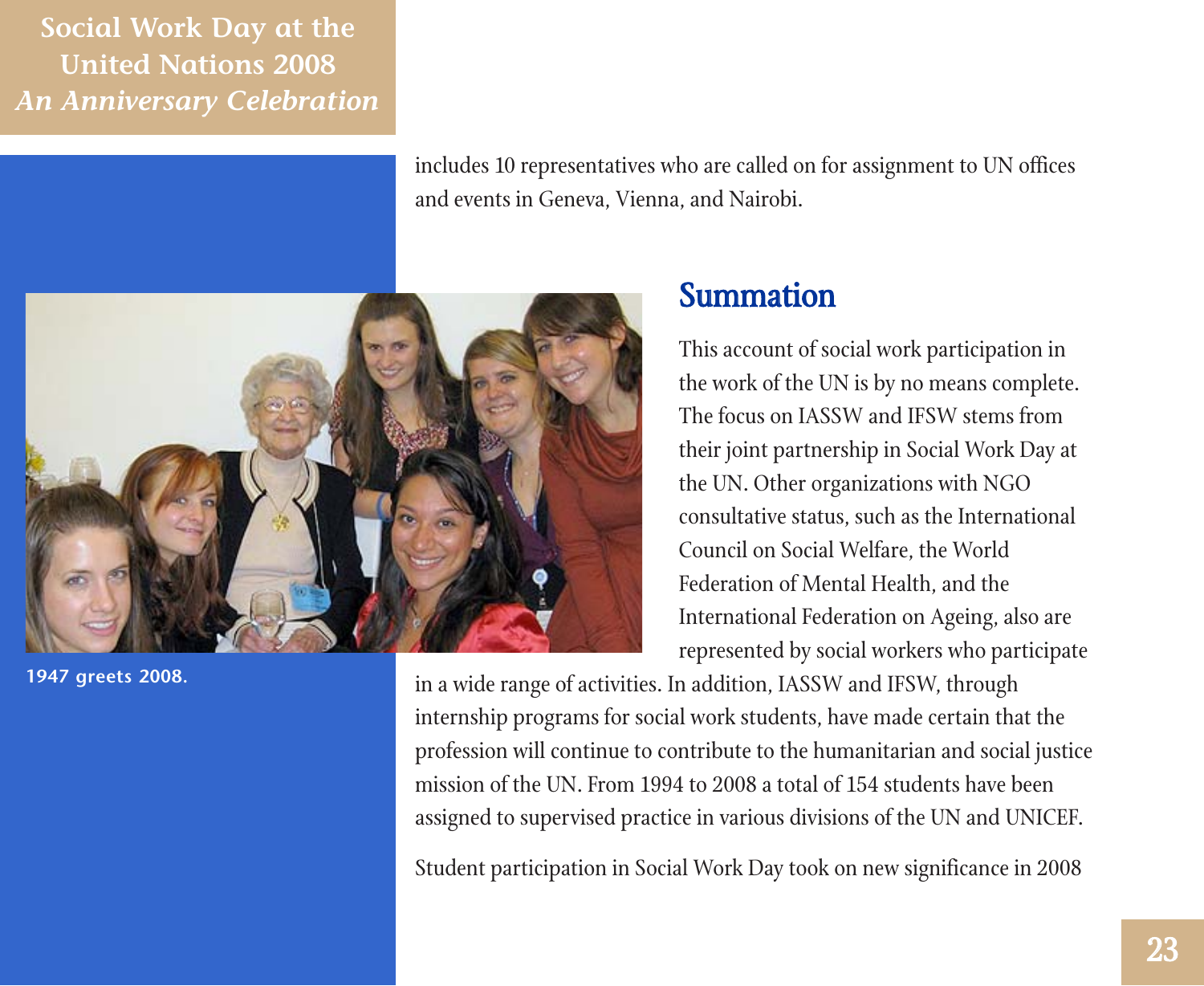> includes 10 representatives who are called on for assignment to UN offices and events in Geneva, Vienna, and Nairobi.



**1947 greets 2008.**

### Summation

This account of social work participation in the work of the UN is by no means complete. The focus on IASSW and IFSW stems from their joint partnership in Social Work Day at the UN. Other organizations with NGO consultative status, such as the International Council on Social Welfare, the World Federation of Mental Health, and the International Federation on Ageing, also are represented by social workers who participate

in a wide range of activities. In addition, IASSW and IFSW, through internship programs for social work students, have made certain that the profession will continue to contribute to the humanitarian and social justice mission of the UN. From 1994 to 2008 a total of 154 students have been assigned to supervised practice in various divisions of the UN and UNICEF.

Student participation in Social Work Day took on new significance in 2008